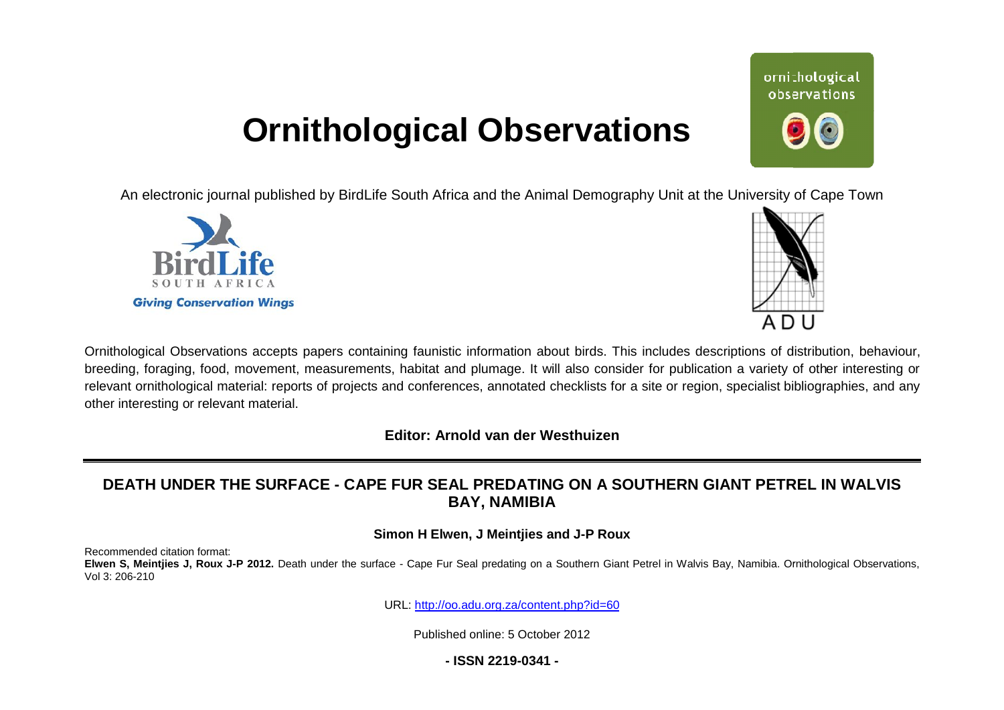# **Ornithological Observations**

An electronic journal published by BirdLife South Africa and the Animal Demography Unit at the University of Cape Town





Ornithological Observations accepts papers containing faunistic information about birds. This includes descriptions of distribution, behaviour, breeding, foraging, food, movement, measurements, habitat and plumage. It will also consider for publication a variety of other interesting or relevant ornithological material: reports of projects and conferences, annotated checklists for a site or region, specialist bibliographies, and any other interesting or relevant material.

**Editor: Arnold van der Westhuizen**

# DEATH UNDER THE SURFACE - CAPE FUR SEAL PREDATING ON A SOUTHERN GIANT PETREL IN WALVIS **BAY, NAMIBIA**

### **Simon H Elwen, J Meintjies and J-P Roux**

Recommended citation format:

Elwen S, Meintjies J, Roux J-P 2012. Death under the surface - Cape Fur Seal predating on a Southern Giant Petrel in Walvis Bay, Namibia. Ornithological Observations, Vol 3: 206-210

URL: <http://oo.adu.org.za/content.php?id=60>

Published online: 5 October 2012

# **- ISSN 2219-0341 -**

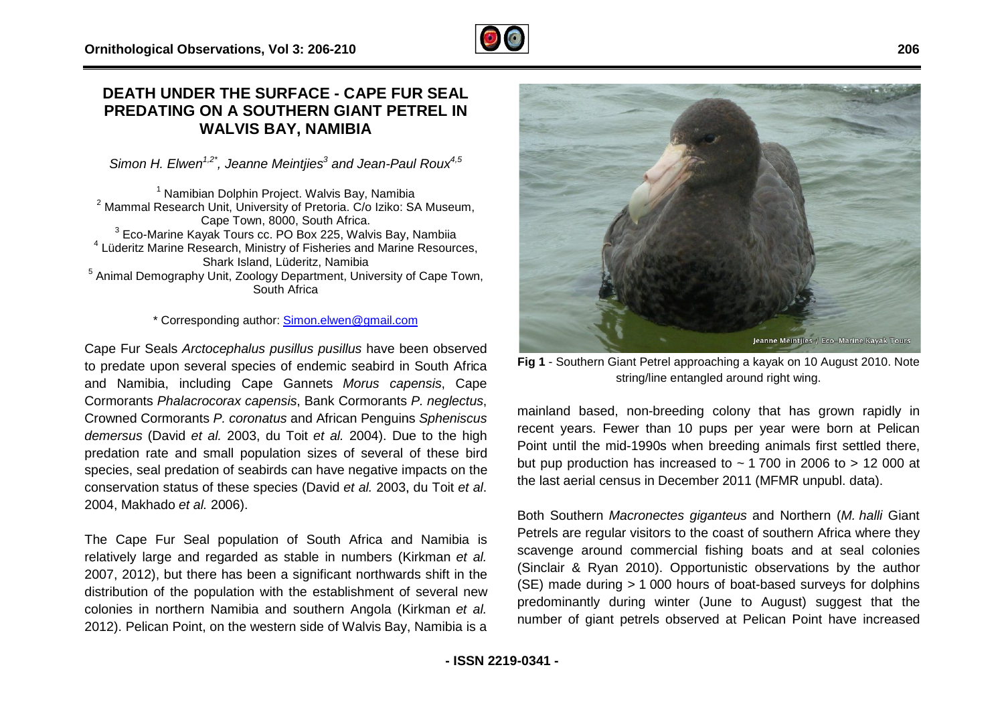# **DEATH UNDER THE SURFACE - CAPE FUR SEAL PREDATING ON A SOUTHERN GIANT PETREL IN WALVIS BAY, NAMIBIA**

Simon H. Elwen<sup>1,2\*</sup>, Jeanne Meintjies<sup>3</sup> and Jean-Paul Roux<sup>4,5</sup>

 $1$  Namibian Dolphin Project. Walvis Bay, Namibia  $2$  Mammal Research Unit, University of Pretoria. C/o Iziko: SA Museum. Cape Town, 8000, South Africa.  $3$  Eco-Marine Kayak Tours cc. PO Box 225, Walvis Bay, Nambiia 4 Lüderitz Marine Research, Ministry of Fisheries and Marine Resources, Shark Island, Lüderitz, Namibia <sup>5</sup> Animal Demography Unit, Zoology Department, University of Cape Town, South Africa Marine Kayak Tours cc. PO Box 225, Walvis Bay, N<br>Marine Research, Ministry of Fisheries and Marine F<br>Shark Island, Lüderitz, Namibia<br>Prography Unit, Zoology Department, University of Gouth Africa<br>\* Corresponding author: <u>S</u>

#### \* Corresponding author: Simon.elwen@gmail.com

Cape Fur Seals *Arctocephalus pusillus pusillus* have been observed to predate upon several species of endemic seabird in South Afri Africa and Namibia, including Cape Gannets *Morus capensis* , Cape Cormorants *Phalacrocorax capensis*, Bank Cormorants ormorants *P. neglectus*, Crowned Cormorants P. coronatus and African Penguins Spheniscus *demersus* (David *et al.* 2003, du Toit *et al.* 2004). Due to the high predation rate and small population sizes of several of these bird species, seal predation of seabirds can have negative impacts on the conservation status of these species (David *et al.* 2003, du Toit *et al*. 2004, Makhado *et al.* 2006).

The Cape Fur Seal population of South Africa and Namibia is relatively large and regarded as stable in numbers (Kirkman *et al.* 2007, 2012), but there has been a significant northwards shift in the distribution of the population with the establishment of several new colonies in northern Namibia and southern Angola (Kirkman *et al.* 2012). Pelican Point, on the western side of Walvis Bay, Namibia is a



Fig 1 - Southern Giant Petrel approaching a kayak on 10 August 2010. Note string/line entangled around right wing.

mainland based, non-breeding colony that has grown rapidly in mainland based, non-breeding colony that has grown rapidly in<br>recent years. Fewer than 10 pups per year were born at Pelican Point until the mid-1990s when breeding animals first settled there,<br>but pup production has increased to ~ 1 700 in 2006 to > 12 000 at<br>the last aerial census in December 2011 (MFMR unpubl. data).<br>Both Southern *Macronecte* but pup production has increased to  $\sim$  1 700 in 2006 to  $>$  12 000 at the last aerial census in December 2011 (MFMR unpubl. data).

Both Southern *Macronectes giganteus* and Northern ( Petrels are regular visitors to the coast of southern Africa where they scavenge around commercial fishing boats and at seal colonies (Sinclair & Ryan 2010). Opportunistic observations by the author Petrels are regular visitors to the coast of southern Africa where they<br>scavenge around commercial fishing boats and at seal colonies<br>(Sinclair & Ryan 2010). Opportunistic observations by the author<br>(SE) made during > 1 00 predominantly during winter (June to August) suggest that the number of giant petrels observed at Pelican Point have increased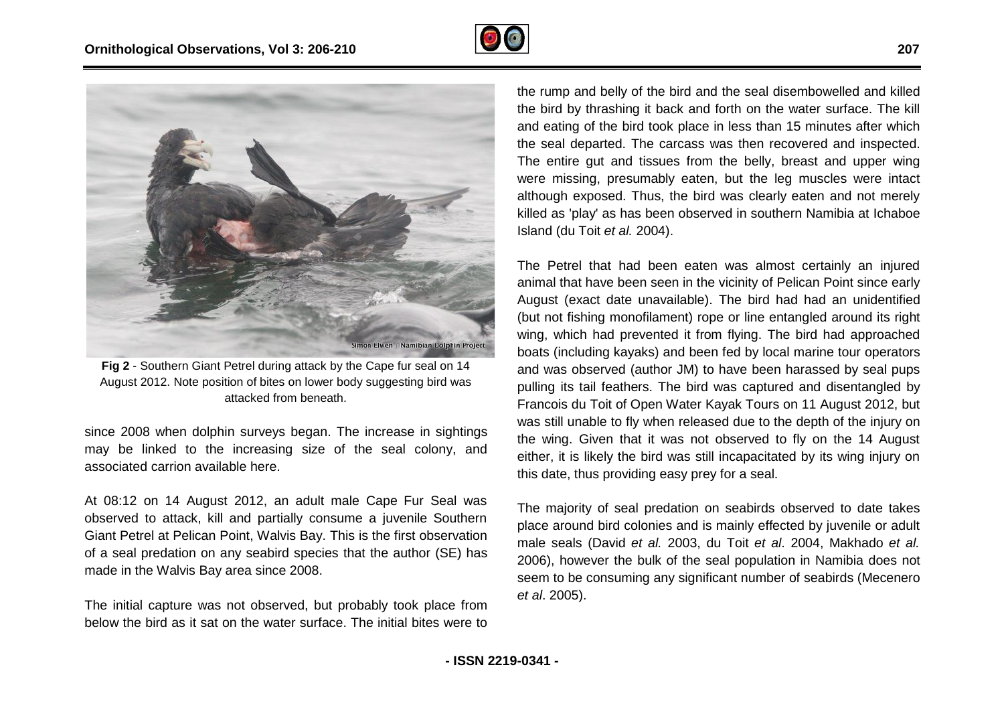



Fig 2 - Southern Giant Petrel during attack by the Cape fur seal on 14 August 2012. Note position of bites on lower body suggesting bird was attacked from beneath.

since 2008 when dolphin surveys began. The increase in sightings may be linked to the increasing size of the seal colony, and associated carrion available here.

At 08:12 on 14 August 2012, an adult male Cape F Fur Seal was observed to attack, kill and partially consume a juvenile Southern Giant Petrel at Pelican Point, Walvis Bay. This is the first observation of a seal predation on any seabird species that the author (SE) has made in the Walvis Bay area since 2008.

The initial capture was not observed, but probably took place from below the bird as it sat on the water surface. The initial bites were to the bird by thrashing it back and forth on the water surface. The kill and eating of the bird took place in less than 15 minutes after which the seal departed. The carcass was then recovered and inspected. The entire gut and tissues from the belly, breast and upper wing were missing, presumably eaten, but the leg muscles were intact although exposed. Thus, the bird was clearly eaten and not merely killed as 'play' as has been observed in southern Namibia at Ichaboe Island (du Toit *et al.* 2004). ssing, presumably eaten, but the leg muscles were intact exposed. Thus, the bird was clearly eaten and not merely 'play' as has been observed in southern Namibia at Ichaboe lu Toit *et al.* 2004).<br>In Toit *et al.* 2004).

The Petrel that had been eaten was almost certainly an injured animal that have been seen in the vicinity of Pelican Point since early August (exact date unavailable). The bird had had an unidentified (but not fishing monofilament) rope or line entangled around its right wing, which had prevented it from flying. The bird had approached boats (including kayaks) and been fed by local marine tour operators and was observed (author JM) to have been harassed by seal pups pulling its tail feathers. The bird was captured and disentangled by Francois du Toit of Open Water Kayak Tours on 11 August 2012, but was still unable to fly when released due to the depth of the injury on the wing. Given that it was not observed to fly on the 14 August either, it is likely the bird was still incapacitated by its wing injury on this date, thus providing easy prey for a seal.

The majority of seal predation on seabirds observed to date takes place around bird colonies and is mainly effected by juvenile or adult male seals (David *et al.* 2003, du Toit *et al*. 2004, Makhado *et al.*  2006), however the bulk of the seal population in Namibia does not seem to be consuming any significant number of seabirds (Mecenero *et al*. 2005).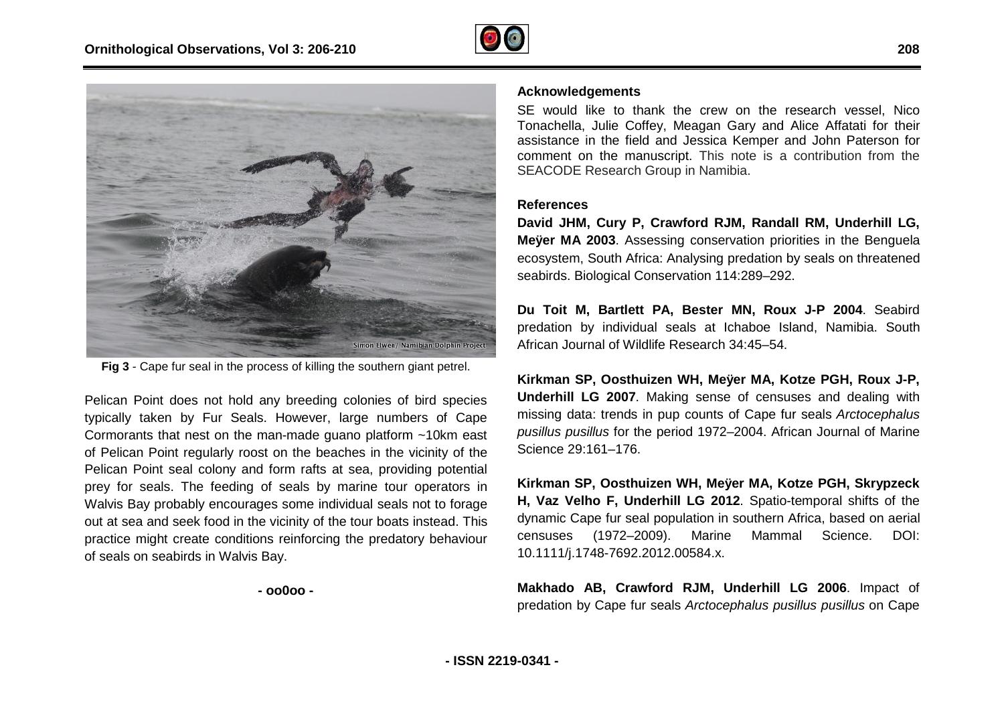



**Fig 3** - Cape fur seal in the process of killing the southern giant petrel.

Pelican Point does not hold any breeding colonies of bird species typically taken by Fur Seals. However, large numbers of Cape Cormorants that nest on the man-made guano platform ~10km east of Pelican Point regularly roost on the beaches in the vicinity of the Pelican Point seal colony and form rafts at sea, providing potential prey for seals. The feeding of seals by marine tour operators in Walvis Bay probably encourages some individual seals not to forage out at sea and seek food in the vicinity of the tour boats instead. This practice might create conditions reinforcing the predatory behaviour of seals on seabirds in Walvis Bay.

**- oo0oo -** 

SE would like to thank the crew on the research vessel, Nico Tonachella, Julie Coffey, Meagan Gary and Alice Affatati for their assistance in the field and Jessica Kemper and John Paterson for comment on the manuscript. This note is a contribution from the SEACODE Research Group in Namibia.

#### **References**

**David JHM, Cury P, Crawford RJM, Randall RM, Underhill LG, Meÿer MA 2003**. Assessing conservation priorities in the Benguela ecosystem, South Africa: Analysing predation by seals on threatened seabirds. Biological Conservation 114:289-292.

**Du Toit M, Bartlett PA, Bester MN, Roux J J-P 2004**. Seabird predation by individual seals at Ichaboe Island, Namibia. South African Journal of Wildlife Research 34:45–54.

**Kirkman SP, Oosthuizen WH, Meÿer MA, Kotze PGH, Roux J-P, Underhill LG 2007**. Making sense of censuses and dealing with missing data: trends in pup counts of Cape fur seals *Arctocephalus*  pusillus pusillus for the period 1972–2004. African Journal of Marine Science 29:161–176.

**Kirkman SP, Oosthuizen WH, Meÿer MA, Kotze PGH, Skrypzeck H, Vaz Velho F, Underhill LG 2012**. Spatio-temporal shifts of the dynamic Cape fur seal population in southern Africa, based on aerial censuses (1972–2009). Marine Mammal Science. DOI: 10.1111/j.1748-7692.2012.00584.x. **H, Vaz Velho F, Underhill LG 2012**. Spatio-temporal shifts of the dynamic Cape fur seal population in southern Africa, based on aerial censuses (1972–2009). Marine Mammal Science. DOI: 10.1111/j.1748-7692.2012.00584.x.<br>Ma

predation by Cape fur seals *Arctocephalus pusillus pusillus*  on Cape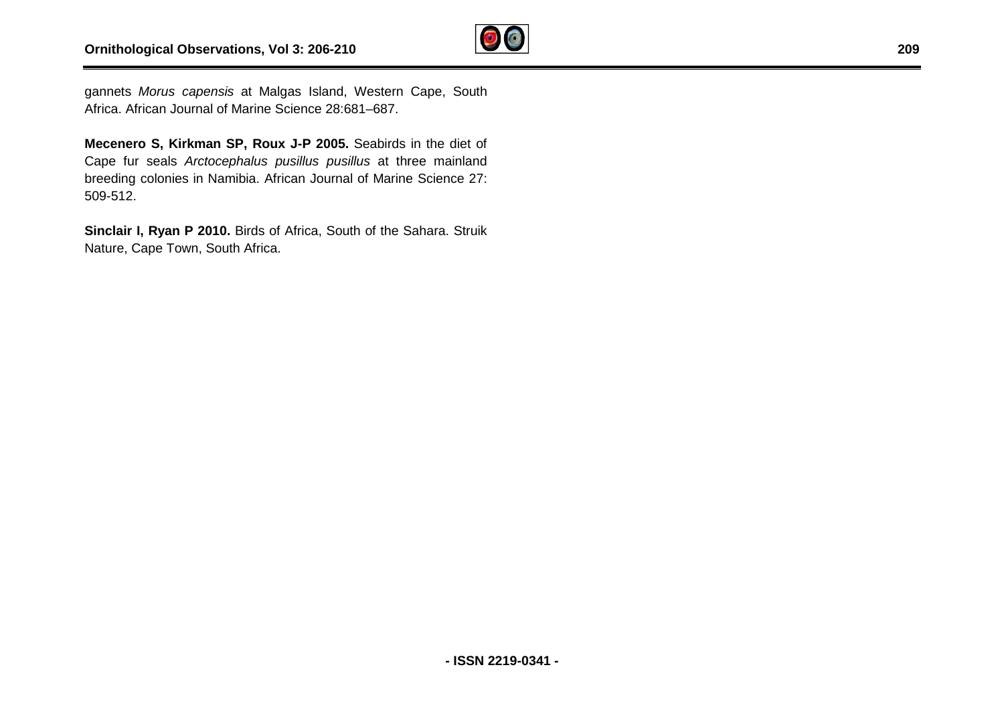

gannets *Morus capensis* at Malgas Island, Western Cape, South Africa. African Journal of Marine Science 28:681–687.

**Mecenero S, Kirkman SP, Roux J-P 2005.** Seabirds in the diet of Cape fur seals *Arctocephalus pusillus pusillus* at three mainland breeding colonies in Namibia. African Journal of Marine Science 27: 509-512.

**Sinclair I, Ryan P 2010.** Birds of Africa, South of the Sahara. Struik Nature, Cape Town, South Africa.